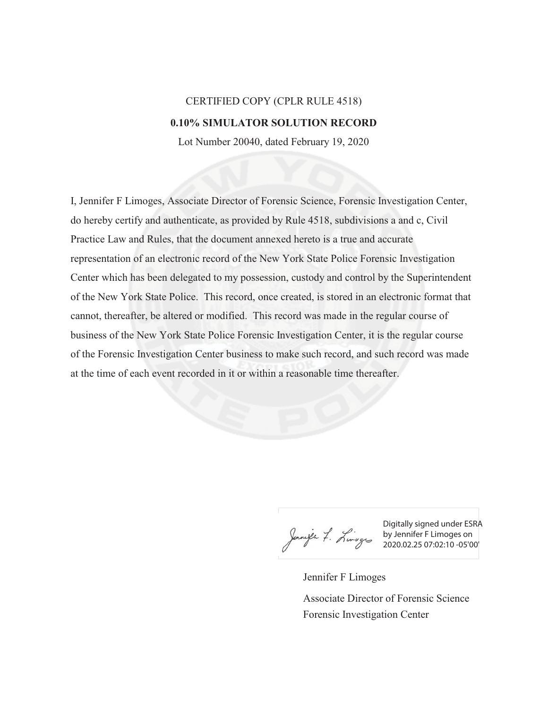## CERTIFIED COPY (CPLR RULE 4518) **0.10% SIMULATOR SOLUTION RECORD**

Lot Number 20040, dated February 19, 2020

I, Jennifer F Limoges, Associate Director of Forensic Science, Forensic Investigation Center, do hereby certify and authenticate, as provided by Rule 4518, subdivisions a and c, Civil Practice Law and Rules, that the document annexed hereto is a true and accurate representation of an electronic record of the New York State Police Forensic Investigation Center which has been delegated to my possession, custody and control by the Superintendent of the New York State Police. This record, once created, is stored in an electronic format that cannot, thereafter, be altered or modified. This record was made in the regular course of business of the New York State Police Forensic Investigation Center, it is the regular course of the Forensic Investigation Center business to make such record, and such record was made at the time of each event recorded in it or within a reasonable time thereafter.

Digitally signed under ESRA by Jennifer F Limoges on 2020.02.25 07:02:10 -05'00'

Jennifer F Limoges Forensic Investigation Center Associate Director of Forensic Science